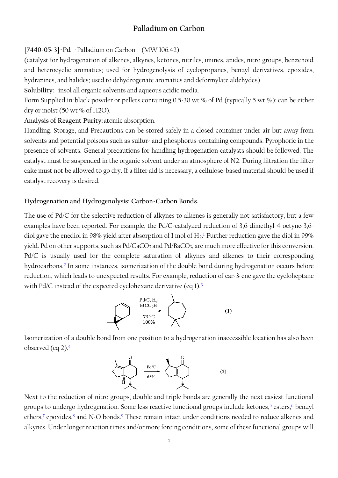# **Palladium on Carbon**

## **[7440-05-3]·Pd** ·Palladium on Carbon ·(MW 106.42)

(catalyst for hydrogenation of alkenes, alkynes, ketones, nitriles, imines, azides, nitro groups, benzenoid and heterocyclic aromatics; used for hydrogenolysis of cyclopropanes, benzyl derivatives, epoxides, hydrazines, and halides; used to dehydrogenate aromatics and deformylate aldehydes)

**Solubility:** insol all organic solvents and aqueous acidic media.

Form Supplied in:black powder or pellets containing 0.5-30 wt % of Pd (typically 5 wt %); can be either dry or moist (50 wt % of H2O).

**Analysis of Reagent Purity:** atomic absorption.

Handling, Storage, and Precautions: can be stored safely in a closed container under air but away from solvents and potential poisons such as sulfur- and phosphorus-containing compounds. Pyrophoric in the presence of solvents. General precautions for handling hydrogenation catalysts should be followed. The catalyst must be suspended in the organic solvent under an atmosphere of N2. During filtration the filter cake must not be allowed to go dry. If a filter aid is necessary, a cellulose-based material should be used if catalyst recovery is desired.

## **Hydrogenation and Hydrogenolysis: Carbon-Carbon Bonds.**

The use of Pd/C for the selective reduction of alkynes to alkenes is generally not satisfactory, but a few examples have been reported. For example, the Pd/C-catalyzed reduction of 3,6-dimethyl-4-octyne-3,6 diol gave the enediol in 98% yield after absorption of 1 mol of  $H_2$ .<sup>1</sup> Further reduction gave the diol in 99% yield. Pd on other supports, such as Pd/CaCO<sub>3</sub> and Pd/BaCO<sub>3</sub>, are much more effective for this conversion. Pd/C is usually used for the complete saturation of alkynes and alkenes to their corresponding hydrocarbons.<sup>2</sup> In some instances, isomerization of the double bond during hydrogenation occurs before reduction, which leads to unexpected results. For example, reduction of car-3-ene gave the cycloheptane with Pd/C instead of the expected cyclohexane derivative (eq 1).<sup>3</sup>



Isomerization of a double bond from one position to a hydrogenation inaccessible location has also been observed (eq 2).<sup>4</sup>



Next to the reduction of nitro groups, double and triple bonds are generally the next easiest functional groups to undergo hydrogenation. Some less reactive functional groups include ketones,<sup>5</sup> esters,<sup>6</sup> benzyl ethers,<sup>7</sup> epoxides, $^8$  and N-O bonds. $^9$  These remain intact under conditions needed to reduce alkenes and alkynes. Under longer reaction times and/or more forcing conditions, some of these functional groups will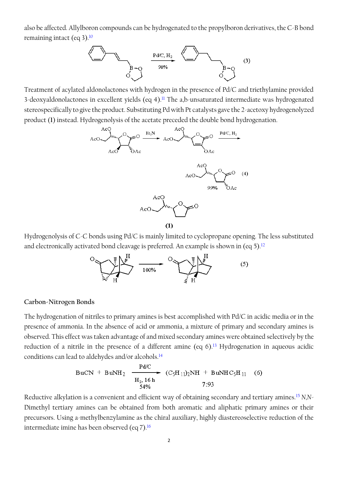also be affected. Allylboron compounds can be hydrogenated to the propylboron derivatives, the C-B bond remaining intact (eq 3).<sup>10</sup>



Treatment of acylated aldonolactones with hydrogen in the presence of Pd/C and triethylamine provided 3-deoxyaldonolactones in excellent yields (eq 4).<sup>11</sup> The a,b-unsaturated intermediate was hydrogenated stereospecifically to give the product. Substituting Pd with Pt catalysts gave the 2-acetoxy hydrogenolyzed product (**1**) instead. Hydrogenolysis of the acetate preceded the double bond hydrogenation.



 $(1)$ 

Hydrogenolysis of C-C bonds using Pd/C is mainly limited to cyclopropane opening. The less substituted and electronically activated bond cleavage is preferred. An example is shown in (eq 5).<sup>12</sup>



## **Carbon-Nitrogen Bonds**

The hydrogenation of nitriles to primary amines is best accomplished with Pd/C in acidic media or in the presence of ammonia. In the absence of acid or ammonia, a mixture of primary and secondary amines is observed. This effect was taken advantage of and mixed secondary amines were obtained selectively by the reduction of a nitrile in the presence of a different amine (eq 6).<sup>13</sup> Hydrogenation in aqueous acidic conditions can lead to aldehydes and/or alcohols.<sup>14</sup>

BuCN + BuNH<sub>2</sub> 
$$
\xrightarrow[H_2, 16 h]{Pd/C}
$$
  $(C_5H_{11})_2NH + BuNHC_5H_{11}$  (6)  
54%  $7:93$ 

Reductive alkylation is a convenient and efficient way of obtaining secondary and tertiary amines.<sup>15</sup> *N,N*-Dimethyl tertiary amines can be obtained from both aromatic and aliphatic primary amines or their precursors. Using a-methylbenzylamine as the chiral auxiliary, highly diastereoselective reduction of the intermediate imine has been observed (eq 7).<sup>16</sup>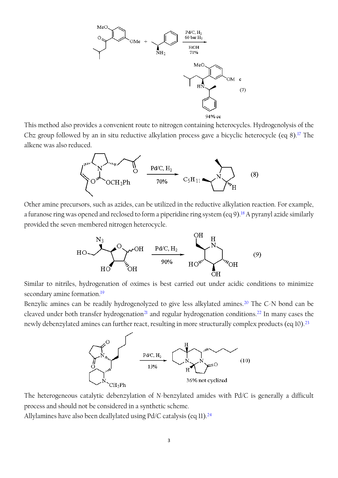

This method also provides a convenient route to nitrogen containing heterocycles. Hydrogenolysis of the Cbz group followed by an in situ reductive alkylation process gave a bicyclic heterocycle (eq 8).<sup>17</sup> The alkene was also reduced.



Other amine precursors, such as azides, can be utilized in the reductive alkylation reaction. For example, a furanose ring was opened and reclosed to form a piperidine ring system (eq 9).<sup>18</sup> A pyranyl azide similarly provided the seven-membered nitrogen heterocycle.



Similar to nitriles, hydrogenation of oximes is best carried out under acidic conditions to minimize secondary amine formation.<sup>19</sup>

Benzylic amines can be readily hydrogenolyzed to give less alkylated amines.<sup>20</sup> The C-N bond can be cleaved under both transfer hydrogenation<sup>21</sup> and regular hydrogenation conditions.<sup>22</sup> In many cases the newly debenzylated amines can further react, resulting in more structurally complex products (eq 10).<sup>23</sup>



The heterogeneous catalytic debenzylation of *N*-benzylated amides with Pd/C is generally a difficult process and should not be considered in a synthetic scheme.

Allylamines have also been deallylated using  $Pd/C$  catalysis (eq 11).<sup>24</sup>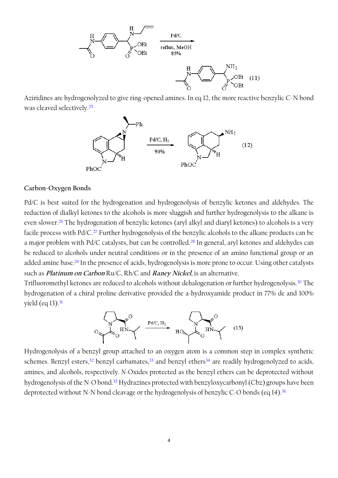

Aziridines are hydrogenolyzed to give ring-opened amines. In eq 12, the more reactive benzylic C-N bond was cleaved selectively.<sup>25</sup>



### **Carbon-Oxygen Bonds**

Pd/C is best suited for the hydrogenation and hydrogenolysis of benzylic ketones and aldehydes. The reduction of dialkyl ketones to the alcohols is more sluggish and further hydrogenolysis to the alkane is even slower.<sup>26</sup> The hydrogenation of benzylic ketones (aryl alkyl and diaryl ketones) to alcohols is a very facile process with Pd/C.<sup>27</sup> Further hydrogenolysis of the benzylic alcohols to the alkane products can be a major problem with Pd/C catalysts, but can be controlled.<sup>28</sup> In general, aryl ketones and aldehydes can be reduced to alcohols under neutral conditions or in the presence of an amino functional group or an added amine base.<sup>29</sup> In the presence of acids, hydrogenolysis is more prone to occur. Using other catalysts such as **Platinum on Carbon** Ru/C, Rh/C and **Raney Nickel**, is an alternative.

Trifluoromethyl ketones are reduced to alcohols without dehalogenation or further hydrogenolysis.<sup>30</sup> The hydrogenation of a chiral proline derivative provided the a-hydroxyamide product in 77% de and 100% yield (eq  $13$ ).<sup>31</sup>



Hydrogenolysis of a benzyl group attached to an oxygen atom is a common step in complex synthetic schemes. Benzyl esters,<sup>32</sup> benzyl carbamates,<sup>33</sup> and benzyl ethers<sup>34</sup> are readily hydrogenolyzed to acids, amines, and alcohols, respectively. *N*-Oxides protected as the benzyl ethers can be deprotected without hydrogenolysis of the N-O bond.<sup>35</sup> Hydrazines protected with benzyloxycarbonyl (Cbz) groups have been deprotected without N-N bond cleavage or the hydrogenolysis of benzylic C-O bonds (eq 14).<sup>36</sup>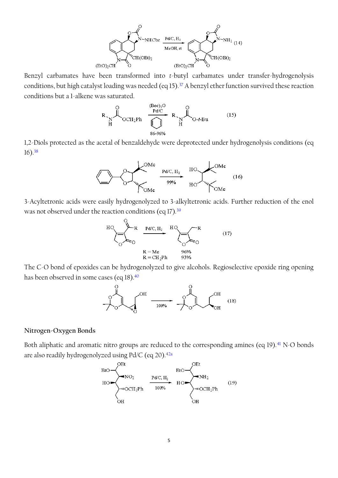

Benzyl carbamates have been transformed into *t*-butyl carbamates under transfer-hydrogenolysis conditions, but high catalyst loading was needed (eq 15).<sup>37</sup> A benzyl ether function survived these reaction conditions but a 1-alkene was saturated.



1,2-Diols protected as the acetal of benzaldehyde were deprotected under hydrogenolysis conditions (eq 16).<sup>38</sup>



3-Acyltetronic acids were easily hydrogenolyzed to 3-alkyltetronic acids. Further reduction of the enol was not observed under the reaction conditions (eq 17).<sup>39</sup>



The C-O bond of epoxides can be hydrogenolyzed to give alcohols. Regioselective epoxide ring opening has been observed in some cases (eq 18).<sup>40</sup>



#### **Nitrogen-Oxygen Bonds**

Both aliphatic and aromatic nitro groups are reduced to the corresponding amines (eq 19).<sup>41</sup> N-O bonds are also readily hydrogenolyzed using Pd/C (eq 20).<sup>41</sup>

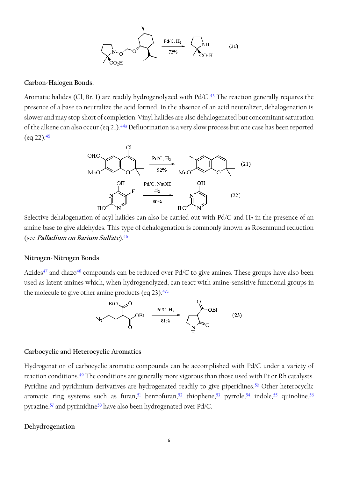$$
\left\{\sum_{\mathrm{NO}_2\mathrm{H}}^{\mathrm{N}-\mathrm{O}}\right\}^{\frac{2}{3}}\sum_{\mathrm{PO}_2\mathrm{H}}\frac{\mathrm{Pd/C},\mathrm{H}_2}{72\%}\cdot\left\{\sum_{\mathrm{CO}_2\mathrm{H}}^{\mathrm{NH}}\right\}\qquad(20)
$$

#### **Carbon-Halogen Bonds.**

Aromatic halides (Cl, Br, I) are readily hydrogenolyzed with Pd/C.<sup>43</sup> The reaction generally requires the presence of a base to neutralize the acid formed. In the absence of an acid neutralizer, dehalogenation is slower and may stop short of completion. Vinyl halides are also dehalogenated but concomitant saturation of the alkene can also occur (eq 21).<sup>44a</sup> Defluorination is a very slow process but one case has been reported  $(eq 22).45$ 



Selective dehalogenation of acyl halides can also be carried out with  $Pd/C$  and  $H_2$  in the presence of an amine base to give aldehydes. This type of dehalogenation is commonly known as Rosenmund reduction (see **Palladium on Barium Sulfate**).<sup>46</sup>

#### **Nitrogen-Nitrogen Bonds**

Azides<sup>47</sup> and diazo<sup>48</sup> compounds can be reduced over Pd/C to give amines. These groups have also been used as latent amines which, when hydrogenolyzed, can react with amine-sensitive functional groups in the molecule to give other amine products (eq 23).<sup>47c</sup>



#### **Carbocyclic and Heterocyclic Aromatics**

Hydrogenation of carbocyclic aromatic compounds can be accomplished with Pd/C under a variety of reaction conditions.<sup>49</sup> The conditions are generally more vigorous than those used with Pt or Rh catalysts. Pyridine and pyridinium derivatives are hydrogenated readily to give piperidines.<sup>50</sup> Other heterocyclic aromatic ring systems such as furan,<sup>51</sup> benzofuran,<sup>52</sup> thiophene,<sup>53</sup> pyrrole,<sup>54</sup> indole,<sup>55</sup> quinoline,<sup>56</sup> pyrazine,<sup>57</sup> and pyrimidine<sup>58</sup> have also been hydrogenated over Pd/C.

#### **Dehydrogenation**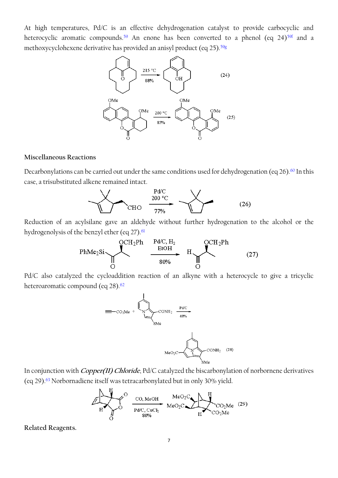At high temperatures, Pd/C is an effective dehydrogenation catalyst to provide carbocyclic and heterocyclic aromatic compounds.<sup>59</sup> An enone has been converted to a phenol (eq 24)<sup>59f</sup> and a methoxycyclohexene derivative has provided an anisyl product (eq 25).<sup>59g</sup>



### **Miscellaneous Reactions**

Decarbonylations can be carried out under the same conditions used for dehydrogenation (eq 26).<sup>60</sup> In this case, a trisubstituted alkene remained intact.



Reduction of an acylsilane gave an aldehyde without further hydrogenation to the alcohol or the hydrogenolysis of the benzyl ether (eq 27).<sup>61</sup>



Pd/C also catalyzed the cycloaddition reaction of an alkyne with a heterocycle to give a tricyclic heteroaromatic compound (eq 28).<sup>62</sup>



In conjunction with **Copper(II) Chloride**, Pd/C catalyzed the biscarbonylation of norbornene derivatives (eq 29).<sup>63</sup> Norbornadiene itself was tetracarbonylated but in only 30% yield.



**Related Reagents.**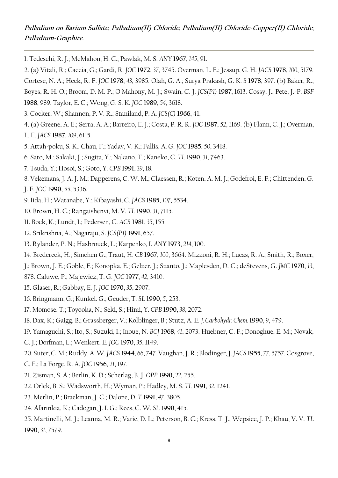# **Palladium on Barium Sulfate**; **Palladium(II) Chloride**; **Palladium(II) Chloride-Copper(II) Chloride**; **Palladium-Graphite**.

1. Tedeschi, R. J.; McMahon, H. C.; Pawlak, M. S. *ANY* **1967**, *145*, 91.

2. (a) Vitali, R.; Caccia, G.; Gardi, R. *JOC* **1972**, *37*, 3745. Overman, L. E.; Jessup, G. H. *JACS* **1978**, *100*, 5179.

Cortese, N. A.; Heck, R. F. *JOC* **1978**, *43*, 3985. Olah, G. A.; Surya Prakash, G. K. *S* **1978**, 397. (b) Baker, R.;

Boyes, R. H. O.; Broom, D. M. P.; O'Mahony, M. J.; Swain, C. J. *JCS(P1)* **1987**, 1613. Cossy, J.; Pete, J.-P. *BSF*

**1988**, 989. Taylor, E. C.; Wong, G. S. K. *JOC* **1989**, *54*, 3618.

- 3. Cocker, W.; Shannon, P. V. R.; Staniland, P. A. *JCS(C)* **1966**, 41.
- 4. (a) Greene, A. E.; Serra, A. A.; Barreiro, E. J.; Costa, P. R. R. *JOC* **1987**, *52*, 1169. (b) Flann, C. J.; Overman,
- L. E. *JACS* **1987**, *109*, 6115.
- 5. Attah-poku, S. K.; Chau, F.; Yadav, V. K.; Fallis, A. G. *JOC* **1985**, *50*, 3418.
- 6. Sato, M.; Sakaki, J.; Sugita, Y.; Nakano, T.; Kaneko, C. *TL* **1990**, *31*, 7463.
- 7. Tsuda, Y.; Hosoi, S.; Goto, Y. *CPB* **1991**, *39*, 18.
- 8. Vekemans, J. A. J. M.; Dapperens, C. W. M.; Claessen, R.; Koten, A. M. J.; Godefroi, E. F.; Chittenden, G.
- J. F. *JOC* **1990**, *55*, 5336.
- 9. Iida, H.; Watanabe, Y.; Kibayashi, C. *JACS* **1985**, *107*, 5534.
- 10. Brown, H. C.; Rangaishenvi, M. V. *TL* **1990**, *31*, 7115.
- 11. Bock, K.; Lundt, I.; Pedersen, C. *ACS* **1981**, *35*, 155.
- 12. Srikrishna, A.; Nagaraju, S. *JCS(P1)* **1991**, 657.
- 13. Rylander, P. N.; Hasbrouck, L.; Karpenko, I. *ANY* **1973**, *214*, 100.
- 14. Bredereck, H.; Simchen G.; Traut, H. *CB* **1967**, *100*, 3664. Mizzoni, R. H.; Lucas, R. A.; Smith, R.; Boxer,
- J.; Brown, J. E.; Goble, F.; Konopka, E.; Gelzer, J.; Szanto, J.; Maplesden, D. C.; deStevens, G. *JMC* **1970**, *13*,
- 878. Caluwe, P.; Majewicz, T. G. *JOC* **1977**, *42*, 3410.
- 15. Glaser, R.; Gabbay, E. J. *JOC* **1970**, *35*, 2907.
- 16. Bringmann, G.; Kunkel. G.; Geuder, T. *SL* **1990**, *5*, 253.
- 17. Momose, T.; Toyooka, N.; Seki, S.; Hirai, Y. *CPB* **1990**, *38*, 2072.
- 18. Dax, K.; Gaigg, B.; Grassberger, V.; Kolblinger, B.; Stutz, A. E. *J. Carbohydr. Chem.* **1990**, *9*, 479.
- 19. Yamaguchi, S.; Ito, S.; Suzuki, I.; Inoue, N. *BCJ* **1968**, *41*, 2073. Huebner, C. F.; Donoghue, E. M.; Novak,
- C. J.; Dorfman, L.; Wenkert, E. *JOC* **1970**, *35*, 1149.
- 20. Suter, C. M.; Ruddy, A. W. *JACS* **1944**, *66*, 747. Vaughan, J. R.; Blodinger, J. *JACS* **1955**, *77*, 5757. Cosgrove,
- C. E.; La Forge, R. A. *JOC* **1956**, *21*, 197.
- 21. Zisman, S. A.; Berlin, K. D.; Scherlag, B. J. *OPP* **1990**, *22*, 255.
- 22. Orlek, B. S.; Wadsworth, H.; Wyman, P.; Hadley, M. S. *TL* **1991**, *32*, 1241.
- 23. Merlin, P.; Braekman, J. C.; Daloze, D. *T* **1991**, *47*, 3805.
- 24. Afarinkia, K.; Cadogan, J. I. G.; Rees, C. W. *SL* **1990**, 415.
- 25. Martinelli, M. J.; Leanna, M. R.; Varie, D. L.; Peterson, B. C.; Kress, T. J.; Wepsiec, J. P.; Khau, V. V. *TL* **1990**, *31*, 7579.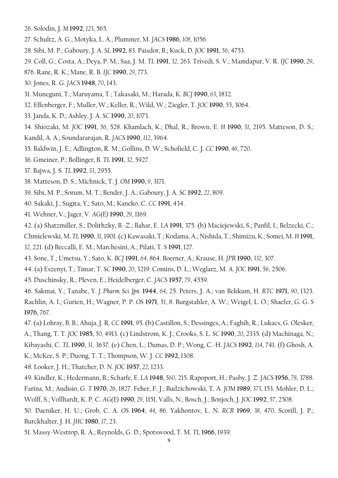- 26. Solodin, J. *M* **1992**, *123*, 565.
- 27. Schultz, A. G.; Motyka, L. A.; Plummer, M. *JACS* **1986**, *108*, 1056.
- 28. Sibi, M. P.; Gaboury, J. A. *SL* **1992**, 83. Paisdor, B.; Kuck, D. *JOC* **1991**, *56*, 4753.
- 29. Coll, G.; Costa, A.; Deya, P. M.; Saa, J. M. *TL* **1991**, *32*, 263. Trivedi, S. V.; Mamdapur, V. R. *IJC* **1990**, *29*,
- 876. Rane, R. K.; Mane, R. B. *IJC* **1990**, *29*, 773.
- 30. Jones, R. G. *JACS* **1948**, *70*, 143.
- 31. Muneguni, T.; Maruyama, T.; Takasaki, M.; Harada, K. *BCJ* **1990**, *63*, 1832.
- 32. Effenberger, F.; Muller, W.; Keller, R.; Wild, W.; Ziegler, T. *JOC* **1990**, *55*, 3064.
- 33. Janda, K. D.; Ashley, J. A. *SC* **1990**, *20*, 1073.
- 34. Shiozaki, M. *JOC* **1991**, *56*, 528. Khamlach, K.; Dhal, R.; Brown, E. *H* **1990**, *31*, 2195. Matteson, D. S.;
- Kandil, A. A.; Soundararajan, R. *JACS* **1990**, *112*, 3964.
- 35. Baldwin, J. E.; Adlington, R. M.; Gollins, D. W.; Schofield, C. J. *CC* **1990**, *46*, 720.
- 36. Gmeiner, P.; Bollinger, B. *TL* **1991**, *32*, 5927.
- 37. Bajwa, J. S. *TL* **1992**, *33*, 2955.
- 38. Matteson, D. S.; Michnick, T. J. *OM* **1990**, *9*, 3171.
- 39. Sibi, M. P.; Sorum, M. T.; Bender, J. A.; Gaboury, J. A. *SC* **1992**, *22*, 809.
- 40. Sakaki, J.; Sugita, Y.; Sato, M.; Kaneko, C. *CC* **1991**, 434.
- 41. Wehner, V.; Jager, V. *AG(E)* **1990**, *29*, 1169.

42. (a) Shatzmiller, S.; Dolithzky, B.-Z.; Bahar, E. *LA* **1991**, 375. (b) Maciejewski, S.; Panfil, I.; Belzecki, C.;

Chmielewski, M. *TL* **1990**, *31*, 1901. (c) Kawasaki, T.; Kodama, A.; Nishida, T.; Shimizu, K.; Somei, M. *H* **1991**,

- *32*, 221. (d) Beccalli, E. M.; Marchesini, A.; Pilati, T. *S* **1991**, 127.
- 43. Sone, T.; Umetsu, Y.; Sato, K. *BCJ* **1991**, *64*, 864. Boerner, A.; Krause, H. *JPR* **1990**, *332*, 307.
- 44. (a) Eszenyi, T.; Timar, T. *SC* **1990**, *20*, 3219. Comins, D. L.; Weglarz, M. A. *JOC* **1991**, *56*, 2506.
- 45. Duschinsky, R.; Pleven, E.; Heidelberger, C. *JACS* **1957**, *79*, 4559.

46. Sakmai, Y.; Tanabe, Y. *J. Pharm. Sci. Jpn.* **1944**, *64*, 25. Peters, J. A.; van Bekkum, H. *RTC* **1971**, *90*, 1323. Rachlin, A. I.; Gurien, H.; Wagner, P. P. *OS* **1971**, *51*, 8. Burgstahler, A. W.; Weigel, L. O.; Shaefer, G. G. *S* **1976**, 767.

- 47. (a) Lohray, B. B.; Ahuja, J. R. *CC* **1991**, 95. (b) Castillon, S.; Dessinges, A.; Faghih, R.; Lukacs, G. Olesker, A.; Thang, T. T. *JOC* **1985**, *50*, 4913. (c) Lindstrom, K. J.; Crooks, S. L. *SC* **1990**, *20*, 2335. (d) Machinaga, N.; Kibayashi, C. *TL* **1990**, *31*, 3637. (e) Chen, L.; Dumas, D. P.; Wong, C.-H. *JACS* **1992**, *114*, 741. (f) Ghosh, A. K.; McKee, S. P.; Duong, T. T.; Thompson, W. J. *CC* **1992**, 1308.
- 48. Looker, J. H.; Thatcher, D. N. *JOC* **1957**, *22*, 1233.
- 49. Kindler, K.; Hedermann, B.; Scharfe, E. *LA* **1948**, *560*, 215. Rapoport, H.; Pasby, J. Z. *JACS* **1956**, *78*, 3788. Farina, M.; Audisio, G. *T* **1970**, *26*, 1827. Feher, F. J.; Budzichowski, T. A. *JOM* **1989**, *373*, 153. Mohler, D. L.; Wolff, S.; Vollhardt, K. P. C. *AG(E)* **1990**, *29*, 1151. Valls, N.; Bosch, J.; Bonjoch, J. *JOC* **1992**, *57*, 2508.
- 50. Daeniker, H. U.; Grob, C. A. *OS* **1964**, *44*, 86. Yakhontov, L. N. *RCR* **1969**, *38*, 470. Scorill, J. P.; Burckhalter, J. H. *JHC* **1980**, *17*, 23.
- 51. Massy-Westrop, R. A.; Reynolds, G. D.; Spotswood, T. M. *TL* **1966**, 1939.